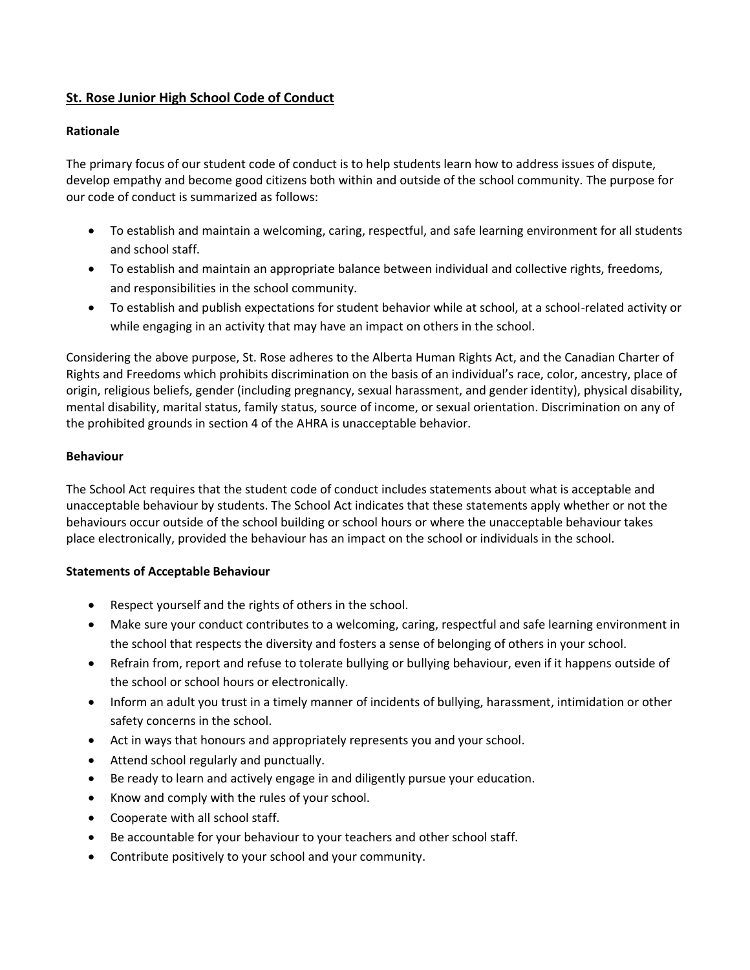# **St. Rose Junior High School Code of Conduct**

### **Rationale**

The primary focus of our student code of conduct is to help students learn how to address issues of dispute, develop empathy and become good citizens both within and outside of the school community. The purpose for our code of conduct is summarized as follows:

- To establish and maintain a welcoming, caring, respectful, and safe learning environment for all students and school staff.
- To establish and maintain an appropriate balance between individual and collective rights, freedoms, and responsibilities in the school community.
- To establish and publish expectations for student behavior while at school, at a school-related activity or while engaging in an activity that may have an impact on others in the school.

Considering the above purpose, St. Rose adheres to the Alberta Human Rights Act, and the Canadian Charter of Rights and Freedoms which prohibits discrimination on the basis of an individual's race, color, ancestry, place of origin, religious beliefs, gender (including pregnancy, sexual harassment, and gender identity), physical disability, mental disability, marital status, family status, source of income, or sexual orientation. Discrimination on any of the prohibited grounds in section 4 of the AHRA is unacceptable behavior.

#### **Behaviour**

The School Act requires that the student code of conduct includes statements about what is acceptable and unacceptable behaviour by students. The School Act indicates that these statements apply whether or not the behaviours occur outside of the school building or school hours or where the unacceptable behaviour takes place electronically, provided the behaviour has an impact on the school or individuals in the school.

#### **Statements of Acceptable Behaviour**

- Respect yourself and the rights of others in the school.
- Make sure your conduct contributes to a welcoming, caring, respectful and safe learning environment in the school that respects the diversity and fosters a sense of belonging of others in your school.
- Refrain from, report and refuse to tolerate bullying or bullying behaviour, even if it happens outside of the school or school hours or electronically.
- Inform an adult you trust in a timely manner of incidents of bullying, harassment, intimidation or other safety concerns in the school.
- Act in ways that honours and appropriately represents you and your school.
- Attend school regularly and punctually.
- Be ready to learn and actively engage in and diligently pursue your education.
- Know and comply with the rules of your school.
- Cooperate with all school staff.
- Be accountable for your behaviour to your teachers and other school staff.
- Contribute positively to your school and your community.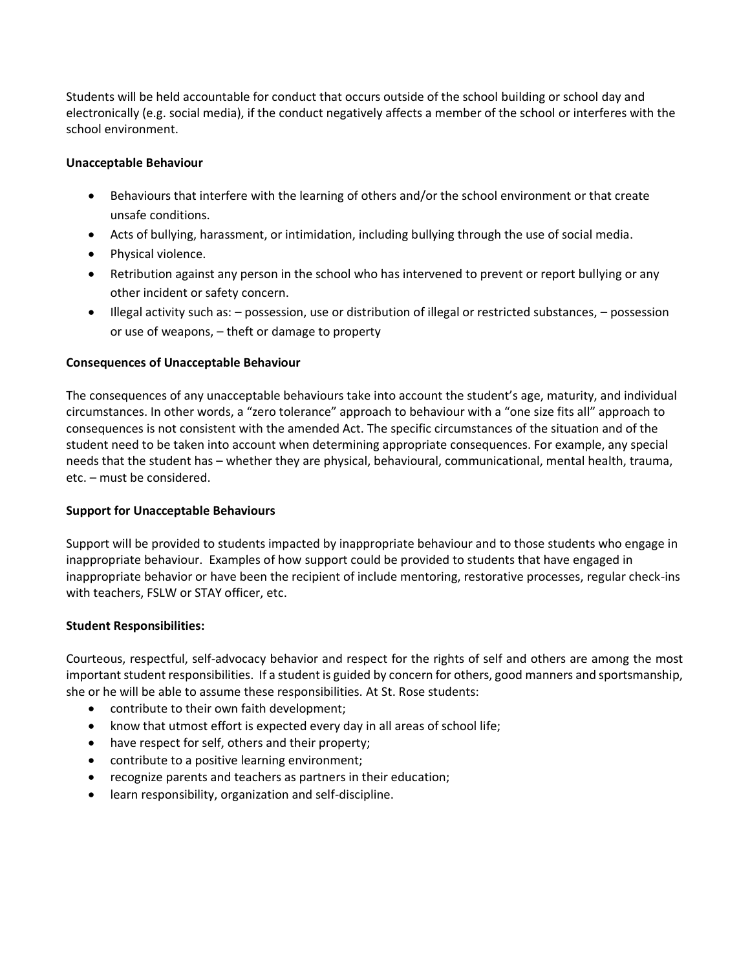Students will be held accountable for conduct that occurs outside of the school building or school day and electronically (e.g. social media), if the conduct negatively affects a member of the school or interferes with the school environment.

# **Unacceptable Behaviour**

- Behaviours that interfere with the learning of others and/or the school environment or that create unsafe conditions.
- Acts of bullying, harassment, or intimidation, including bullying through the use of social media.
- Physical violence.
- Retribution against any person in the school who has intervened to prevent or report bullying or any other incident or safety concern.
- Illegal activity such as: possession, use or distribution of illegal or restricted substances, possession or use of weapons, – theft or damage to property

# **Consequences of Unacceptable Behaviour**

The consequences of any unacceptable behaviours take into account the student's age, maturity, and individual circumstances. In other words, a "zero tolerance" approach to behaviour with a "one size fits all" approach to consequences is not consistent with the amended Act. The specific circumstances of the situation and of the student need to be taken into account when determining appropriate consequences. For example, any special needs that the student has – whether they are physical, behavioural, communicational, mental health, trauma, etc. – must be considered.

#### **Support for Unacceptable Behaviours**

Support will be provided to students impacted by inappropriate behaviour and to those students who engage in inappropriate behaviour. Examples of how support could be provided to students that have engaged in inappropriate behavior or have been the recipient of include mentoring, restorative processes, regular check-ins with teachers, FSLW or STAY officer, etc.

#### **Student Responsibilities:**

Courteous, respectful, self-advocacy behavior and respect for the rights of self and others are among the most important student responsibilities. If a student is guided by concern for others, good manners and sportsmanship, she or he will be able to assume these responsibilities. At St. Rose students:

- contribute to their own faith development;
- know that utmost effort is expected every day in all areas of school life;
- have respect for self, others and their property;
- contribute to a positive learning environment;
- recognize parents and teachers as partners in their education;
- learn responsibility, organization and self-discipline.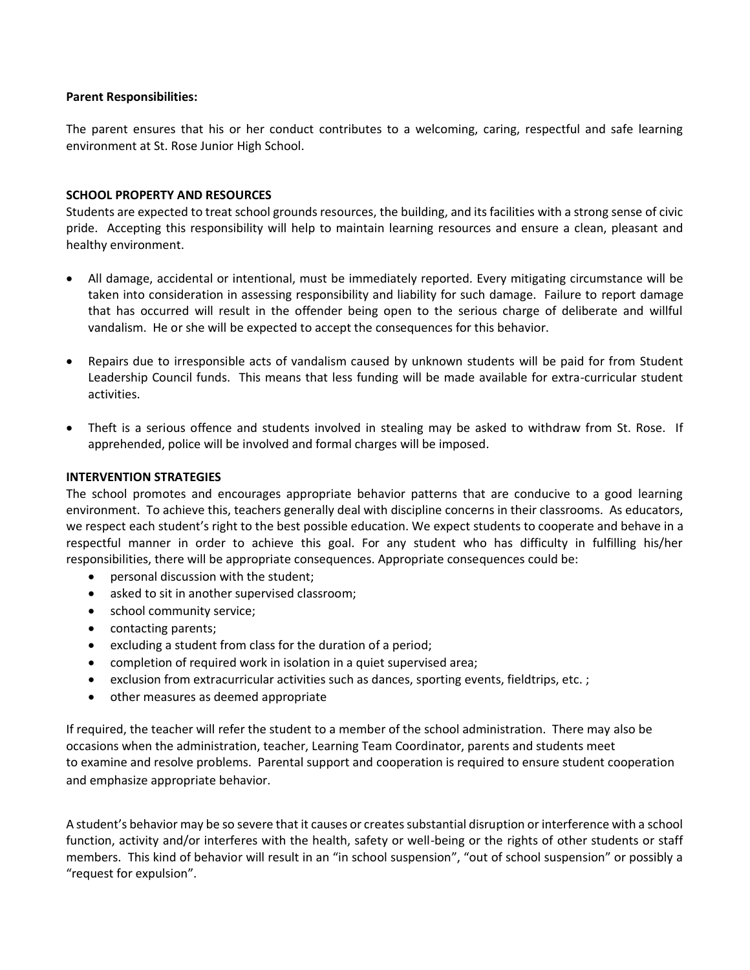#### **Parent Responsibilities:**

The parent ensures that his or her conduct contributes to a welcoming, caring, respectful and safe learning environment at St. Rose Junior High School.

#### **SCHOOL PROPERTY AND RESOURCES**

Students are expected to treat school grounds resources, the building, and its facilities with a strong sense of civic pride. Accepting this responsibility will help to maintain learning resources and ensure a clean, pleasant and healthy environment.

- All damage, accidental or intentional, must be immediately reported. Every mitigating circumstance will be taken into consideration in assessing responsibility and liability for such damage. Failure to report damage that has occurred will result in the offender being open to the serious charge of deliberate and willful vandalism. He or she will be expected to accept the consequences for this behavior.
- Repairs due to irresponsible acts of vandalism caused by unknown students will be paid for from Student Leadership Council funds. This means that less funding will be made available for extra-curricular student activities.
- Theft is a serious offence and students involved in stealing may be asked to withdraw from St. Rose. If apprehended, police will be involved and formal charges will be imposed.

#### **INTERVENTION STRATEGIES**

The school promotes and encourages appropriate behavior patterns that are conducive to a good learning environment. To achieve this, teachers generally deal with discipline concerns in their classrooms. As educators, we respect each student's right to the best possible education. We expect students to cooperate and behave in a respectful manner in order to achieve this goal. For any student who has difficulty in fulfilling his/her responsibilities, there will be appropriate consequences. Appropriate consequences could be:

- personal discussion with the student;
- asked to sit in another supervised classroom;
- school community service;
- contacting parents;
- excluding a student from class for the duration of a period;
- completion of required work in isolation in a quiet supervised area;
- exclusion from extracurricular activities such as dances, sporting events, fieldtrips, etc.;
- other measures as deemed appropriate

If required, the teacher will refer the student to a member of the school administration. There may also be occasions when the administration, teacher, Learning Team Coordinator, parents and students meet to examine and resolve problems. Parental support and cooperation is required to ensure student cooperation and emphasize appropriate behavior.

A student's behavior may be so severe that it causes or creates substantial disruption or interference with a school function, activity and/or interferes with the health, safety or well-being or the rights of other students or staff members. This kind of behavior will result in an "in school suspension", "out of school suspension" or possibly a "request for expulsion".